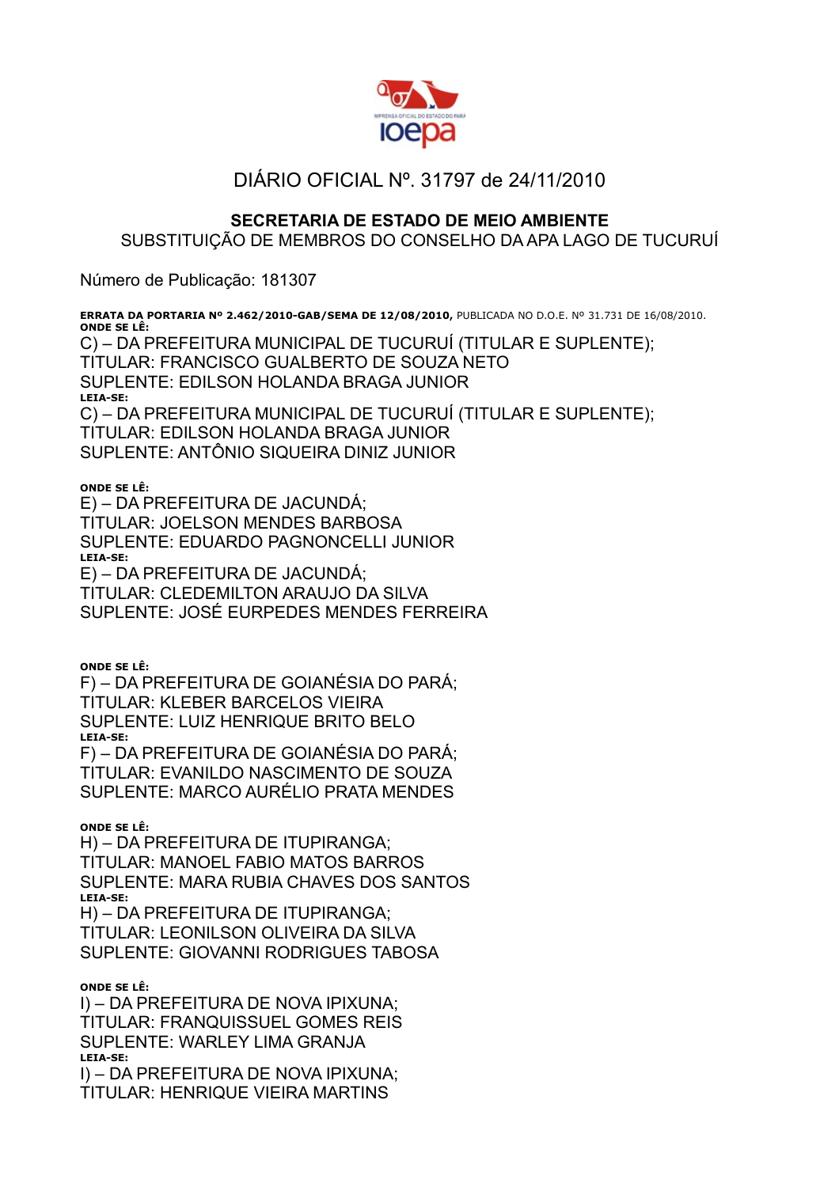

## DIÁRIO OFICIAL Nº. 31797 de 24/11/2010

## **SECRETARIA DE ESTADO DE MEIO AMBIENTE**

## SUBSTITUIÇÃO DE MEMBROS DO CONSELHO DA APA LAGO DE TUCURUÍ

Número de Publicação: 181307

**ERRATA DA PORTARIA Nº 2.462/2010-GAB/SEMA DE 12/08/2010,** PUBLICADA NO D.O.E. Nº 31.731 DE 16/08/2010. **ONDE SE LÊ:** C) – DA PREFEITURA MUNICIPAL DE TUCURUÍ (TITULAR E SUPLENTE); TITULAR: FRANCISCO GUALBERTO DE SOUZA NETO SUPLENTE: EDILSON HOLANDA BRAGA JUNIOR **LEIA-SE:** C) – DA PREFEITURA MUNICIPAL DE TUCURUÍ (TITULAR E SUPLENTE); TITULAR: EDILSON HOLANDA BRAGA JUNIOR SUPLENTE: ANTÔNIO SIQUEIRA DINIZ JUNIOR

## **ONDE SE LÊ:**

E) – DA PREFEITURA DE JACUNDÁ; TITULAR: JOELSON MENDES BARBOSA SUPLENTE: EDUARDO PAGNONCELLI JUNIOR **LEIA-SE:** E) – DA PREFEITURA DE JACUNDÁ; TITULAR: CLEDEMILTON ARAUJO DA SILVA SUPLENTE: JOSÉ EURPEDES MENDES FERREIRA

**ONDE SE LÊ:**

F) – DA PREFEITURA DE GOIANÉSIA DO PARÁ; TITULAR: KLEBER BARCELOS VIEIRA SUPLENTE: LUIZ HENRIQUE BRITO BELO **LEIA-SE:** F) – DA PREFEITURA DE GOIANÉSIA DO PARÁ; TITULAR: EVANILDO NASCIMENTO DE SOUZA

SUPLENTE: MARCO AURÉLIO PRATA MENDES

**ONDE SE LÊ:**

H) – DA PREFEITURA DE ITUPIRANGA; TITULAR: MANOEL FABIO MATOS BARROS SUPLENTE: MARA RUBIA CHAVES DOS SANTOS **LEIA-SE:**

H) – DA PREFEITURA DE ITUPIRANGA; TITULAR: LEONILSON OLIVEIRA DA SILVA SUPLENTE: GIOVANNI RODRIGUES TABOSA

**ONDE SE LÊ:**

I) – DA PREFEITURA DE NOVA IPIXUNA; TITULAR: FRANQUISSUEL GOMES REIS SUPLENTE: WARLEY LIMA GRANJA **LEIA-SE:** I) – DA PREFEITURA DE NOVA IPIXUNA; TITULAR: HENRIQUE VIEIRA MARTINS